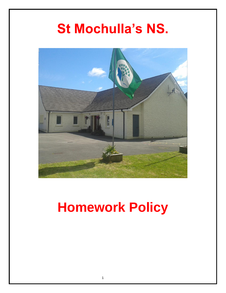## **St Mochulla's NS.**



# **Homework Policy**